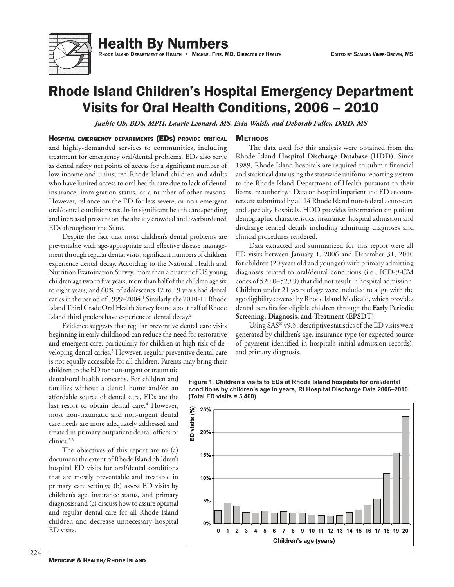

**Health By Numbers** 

RHODE ISLAND DEPARTMENT OF HEALTH . MICHAEL FINE, MD, DIRECTOR OF HEALTH

# **Rhode Island Children's Hospital Emergency Department** Visits for Oral Health Conditions, 2006 - 2010

Junhie Oh, BDS, MPH, Laurie Leonard, MS, Erin Walsh, and Deborah Fuller, DMD, MS

### HOSPITAL EMERGENCY DEPARTMENTS (EDS) PROVIDE CRITICAL and highly-demanded services to communities, including

treatment for emergency oral/dental problems. EDs also serve as dental safety net points of access for a significant number of low income and uninsured Rhode Island children and adults who have limited access to oral health care due to lack of dental insurance, immigration status, or a number of other reasons. However, reliance on the ED for less severe, or non-emergent oral/dental conditions results in significant health care spending and increased pressure on the already crowded and overburdened EDs throughout the State.

Despite the fact that most children's dental problems are preventable with age-appropriate and effective disease management through regular dental visits, significant numbers of children experience dental decay. According to the National Health and Nutrition Examination Survey, more than a quarter of US young children age two to five years, more than half of the children age six to eight years, and 60% of adolescents 12 to 19 years had dental caries in the period of 1999–2004.<sup>1</sup> Similarly, the 2010-11 Rhode Island Third Grade Oral Health Survey found about half of Rhode Island third graders have experienced dental decay.<sup>2</sup>

Evidence suggests that regular preventive dental care visits beginning in early childhood can reduce the need for restorative and emergent care, particularly for children at high risk of developing dental caries.<sup>3</sup> However, regular preventive dental care is not equally accessible for all children. Parents may bring their

children to the ED for non-urgent or traumatic dental/oral health concerns. For children and families without a dental home and/or an affordable source of dental care, EDs are the last resort to obtain dental care.<sup>4</sup> However, most non-traumatic and non-urgent dental care needs are more adequately addressed and treated in primary outpatient dental offices or clinics.<sup>5,6</sup>

The objectives of this report are to (a) document the extent of Rhode Island children's hospital ED visits for oral/dental conditions that are mostly preventable and treatable in primary care settings; (b) assess ED visits by children's age, insurance status, and primary diagnosis; and (c) discuss how to assure optimal and regular dental care for all Rhode Island children and decrease unnecessary hospital ED visits.

## **METHODS**

The data used for this analysis were obtained from the Rhode Island Hospital Discharge Database (HDD). Since 1989, Rhode Island hospitals are required to submit financial and statistical data using the statewide uniform reporting system to the Rhode Island Department of Health pursuant to their licensure authority.7 Data on hospital inpatient and ED encounters are submitted by all 14 Rhode Island non-federal acute-care and specialty hospitals. HDD provides information on patient demographic characteristics, insurance, hospital admission and discharge related details including admitting diagnoses and clinical procedures rendered.

Data extracted and summarized for this report were all ED visits between January 1, 2006 and December 31, 2010 for children (20 years old and younger) with primary admitting diagnoses related to oral/dental conditions (i.e., ICD-9-CM codes of 520.0–529.9) that did not result in hospital admission. Children under 21 years of age were included to align with the age eligibility covered by Rhode Island Medicaid, which provides dental benefits for eligible children through the Early Periodic Screening, Diagnosis, and Treatment (EPSDT).

Using SAS® v9.3, descriptive statistics of the ED visits were generated by children's age, insurance type (or expected source of payment identified in hospital's initial admission records), and primary diagnosis.



Figure 1. Children's visits to EDs at Rhode Island hospitals for oral/dental conditions by children's age in years, RI Hospital Discharge Data 2006-2010. (Total ED visits  $= 5,460$ )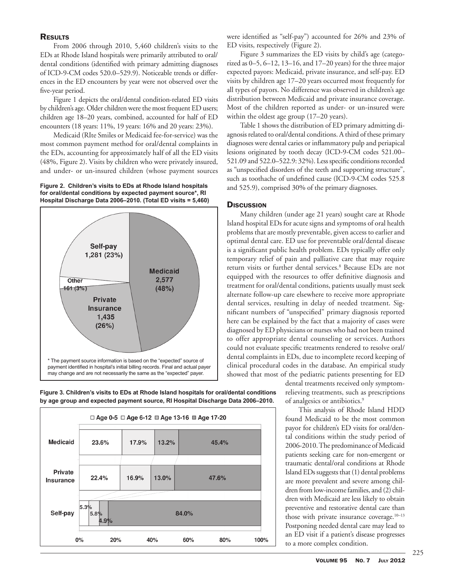# **RESULTS**

From 2006 through 2010, 5,460 children's visits to the EDs at Rhode Island hospitals were primarily attributed to oral/ dental conditions (identified with primary admitting diagnoses of ICD-9-CM codes 520.0–529.9). Noticeable trends or differences in the ED encounters by year were not observed over the five-year period.

Figure 1 depicts the oral/dental condition-related ED visits by children's age. Older children were the most frequent ED users; children age 18–20 years, combined, accounted for half of ED encounters (18 years: 11%, 19 years: 16% and 20 years: 23%).

Medicaid (RIte Smiles or Medicaid fee-for-service) was the most common payment method for oral/dental complaints in the EDs, accounting for approximately half of all the ED visits (48%, Figure 2). Visits by children who were privately insured, and under- or un-insured children (whose payment sources

**Figure 2. Children's visits to EDs at Rhode Island hospitals for oral/dental conditions by expected payment source\*, RI Hospital Discharge Data 2006–2010. (Total ED visits = 5,460)**



**Figure 3. Children's visits to EDs at Rhode Island hospitals for oral/dental conditions by age group and expected payment source, RI Hospital Discharge Data 2006–2010.** 



were identified as "self-pay") accounted for 26% and 23% of ED visits, respectively (Figure 2).

Figure 3 summarizes the ED visits by child's age (categorized as 0–5, 6–12, 13–16, and 17–20 years) for the three major expected payors: Medicaid, private insurance, and self-pay. ED visits by children age 17–20 years occurred most frequently for all types of payors. No difference was observed in children's age distribution between Medicaid and private insurance coverage. Most of the children reported as under- or un-insured were within the oldest age group (17–20 years).

Table 1 shows the distribution of ED primary admitting diagnosis related to oral/dental conditions. A third of these primary diagnoses were dental caries or inflammatory pulp and periapical lesions originated by tooth decay (ICD-9-CM codes 521.00– 521.09 and 522.0–522.9: 32%). Less specific conditions recorded as "unspecified disorders of the teeth and supporting structure", such as toothache of undefined cause (ICD-9-CM codes 525.8 and 525.9), comprised 30% of the primary diagnoses.

# **Discussion**

Many children (under age 21 years) sought care at Rhode Island hospital EDs for acute signs and symptoms of oral health problems that are mostly preventable, given access to earlier and optimal dental care. ED use for preventable oral/dental disease is a significant public health problem. EDs typically offer only temporary relief of pain and palliative care that may require return visits or further dental services.<sup>8</sup> Because EDs are not equipped with the resources to offer definitive diagnosis and treatment for oral/dental conditions, patients usually must seek alternate follow-up care elsewhere to receive more appropriate dental services, resulting in delay of needed treatment. Significant numbers of "unspecified" primary diagnosis reported here can be explained by the fact that a majority of cases were diagnosed by ED physicians or nurses who had not been trained to offer appropriate dental counseling or services. Authors could not evaluate specific treatments rendered to resolve oral/ dental complaints in EDs, due to incomplete record keeping of clinical procedural codes in the database. An empirical study showed that most of the pediatric patients presenting for ED

dental treatments received only symptomrelieving treatments, such as prescriptions of analgesics or antibiotics.9

This analysis of Rhode Island HDD found Medicaid to be the most common payor for children's ED visits for oral/dental conditions within the study period of 2006-2010. The predominance of Medicaid patients seeking care for non-emergent or traumatic dental/oral conditions at Rhode Island EDs suggests that (1) dental problems are more prevalent and severe among children from low-income families, and (2) children with Medicaid are less likely to obtain preventive and restorative dental care than those with private insurance coverage.<sup>10-13</sup> Postponing needed dental care may lead to an ED visit if a patient's disease progresses to a more complex condition.

225